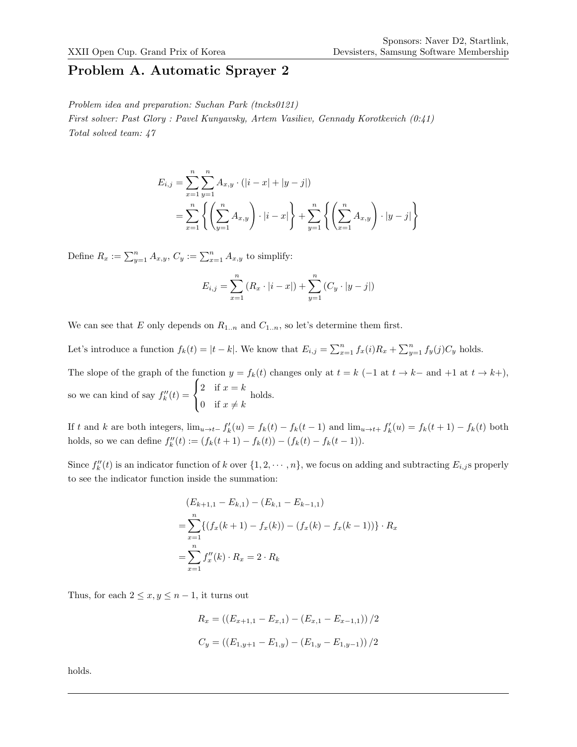#### Problem A. Automatic Sprayer 2

Problem idea and preparation: Suchan Park (tncks0121)

First solver: Past Glory : Pavel Kunyavsky, Artem Vasiliev, Gennady Korotkevich (0:41) Total solved team: 47

$$
E_{i,j} = \sum_{x=1}^{n} \sum_{y=1}^{n} A_{x,y} \cdot (|i - x| + |y - j|)
$$
  
= 
$$
\sum_{x=1}^{n} \left\{ \left( \sum_{y=1}^{n} A_{x,y} \right) \cdot |i - x| \right\} + \sum_{y=1}^{n} \left\{ \left( \sum_{x=1}^{n} A_{x,y} \right) \cdot |y - j| \right\}
$$

Define  $R_x := \sum_{y=1}^n A_{x,y}, C_y := \sum_{x=1}^n A_{x,y}$  to simplify:

$$
E_{i,j} = \sum_{x=1}^{n} (R_x \cdot |i - x|) + \sum_{y=1}^{n} (C_y \cdot |y - j|)
$$

We can see that E only depends on  $R_{1..n}$  and  $C_{1..n}$ , so let's determine them first.

Let's introduce a function  $f_k(t) = |t - k|$ . We know that  $E_{i,j} = \sum_{x=1}^n f_x(i)R_x + \sum_{y=1}^n f_y(j)C_y$  holds.

The slope of the graph of the function  $y = f_k(t)$  changes only at  $t = k$  (-1 at  $t \to k-$  and +1 at  $t \to k+$ ), so we can kind of say  $f_k''(t) =$  $\sqrt{ }$ J  $\mathcal{L}$ 2 if  $x = k$ 0 if  $x \neq k$ holds.

If t and k are both integers,  $\lim_{u\to t-} f'_k(u) = f_k(t) - f_k(t-1)$  and  $\lim_{u\to t+} f'_k(u) = f_k(t+1) - f_k(t)$  both holds, so we can define  $f''_k(t) := (f_k(t+1) - f_k(t)) - (f_k(t) - f_k(t-1)).$ 

Since  $f''_k(t)$  is an indicator function of k over  $\{1, 2, \dots, n\}$ , we focus on adding and subtracting  $E_{i,j}$ s properly to see the indicator function inside the summation:

$$
(E_{k+1,1} - E_{k,1}) - (E_{k,1} - E_{k-1,1})
$$
  
= 
$$
\sum_{x=1}^{n} \{ (f_x(k+1) - f_x(k)) - (f_x(k) - f_x(k-1)) \} \cdot R_x
$$
  
= 
$$
\sum_{x=1}^{n} f''_x(k) \cdot R_x = 2 \cdot R_k
$$

Thus, for each  $2 \le x, y \le n - 1$ , it turns out

$$
R_x = ((E_{x+1,1} - E_{x,1}) - (E_{x,1} - E_{x-1,1})) / 2
$$
  

$$
C_y = ((E_{1,y+1} - E_{1,y}) - (E_{1,y} - E_{1,y-1})) / 2
$$

holds.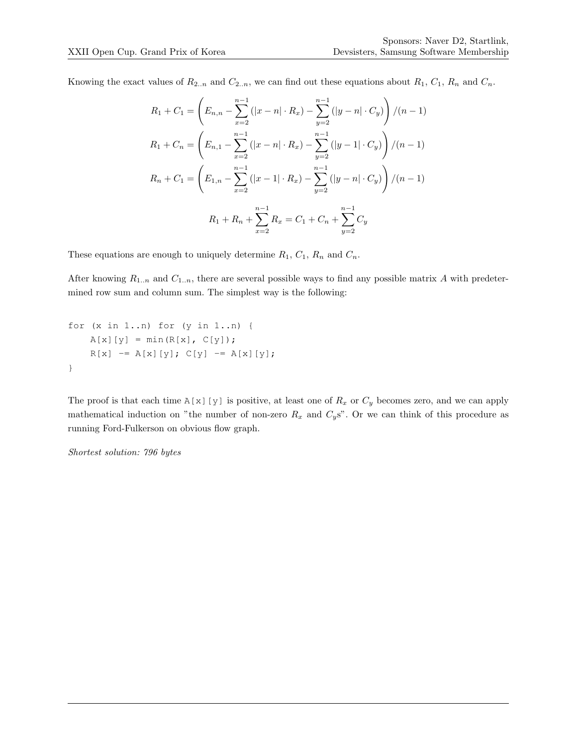Knowing the exact values of  $R_{2..n}$  and  $C_{2..n}$ , we can find out these equations about  $R_1$ ,  $C_1$ ,  $R_n$  and  $C_n$ .

$$
R_1 + C_1 = \left( E_{n,n} - \sum_{x=2}^{n-1} (|x - n| \cdot R_x) - \sum_{y=2}^{n-1} (|y - n| \cdot C_y) \right) / (n - 1)
$$
  
\n
$$
R_1 + C_n = \left( E_{n,1} - \sum_{x=2}^{n-1} (|x - n| \cdot R_x) - \sum_{y=2}^{n-1} (|y - 1| \cdot C_y) \right) / (n - 1)
$$
  
\n
$$
R_n + C_1 = \left( E_{1,n} - \sum_{x=2}^{n-1} (|x - 1| \cdot R_x) - \sum_{y=2}^{n-1} (|y - n| \cdot C_y) \right) / (n - 1)
$$
  
\n
$$
R_1 + R_n + \sum_{x=2}^{n-1} R_x = C_1 + C_n + \sum_{y=2}^{n-1} C_y
$$

These equations are enough to uniquely determine  $R_1$ ,  $C_1$ ,  $R_n$  and  $C_n$ .

After knowing  $R_{1..n}$  and  $C_{1..n}$ , there are several possible ways to find any possible matrix A with predetermined row sum and column sum. The simplest way is the following:

```
for (x in 1..n) for (y in 1..n) {
   A[x][y] = min(R[x], C[y]);R[x] -= A[x][y]; C[y] -= A[x][y];
}
```
The proof is that each time A[x][y] is positive, at least one of  $R_x$  or  $C_y$  becomes zero, and we can apply mathematical induction on "the number of non-zero  $R_x$  and  $C_y$ s". Or we can think of this procedure as running Ford-Fulkerson on obvious flow graph.

Shortest solution: 796 bytes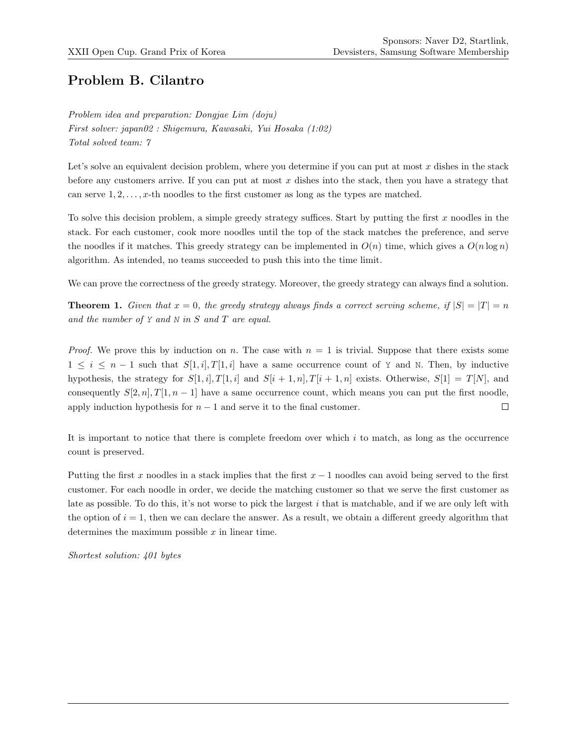## Problem B. Cilantro

Problem idea and preparation: Dongjae Lim (doju) First solver: japan02 : Shigemura, Kawasaki, Yui Hosaka (1:02) Total solved team: 7

Let's solve an equivalent decision problem, where you determine if you can put at most  $x$  dishes in the stack before any customers arrive. If you can put at most  $x$  dishes into the stack, then you have a strategy that can serve  $1, 2, \ldots, x$ -th noodles to the first customer as long as the types are matched.

To solve this decision problem, a simple greedy strategy suffices. Start by putting the first  $x$  noodles in the stack. For each customer, cook more noodles until the top of the stack matches the preference, and serve the noodles if it matches. This greedy strategy can be implemented in  $O(n)$  time, which gives a  $O(n \log n)$ algorithm. As intended, no teams succeeded to push this into the time limit.

We can prove the correctness of the greedy strategy. Moreover, the greedy strategy can always find a solution.

**Theorem 1.** Given that  $x = 0$ , the greedy strategy always finds a correct serving scheme, if  $|S| = |T| = n$ and the number of  $Y$  and  $N$  in  $S$  and  $T$  are equal.

*Proof.* We prove this by induction on n. The case with  $n = 1$  is trivial. Suppose that there exists some  $1 \leq i \leq n-1$  such that  $S[1,i], T[1,i]$  have a same occurrence count of Y and N. Then, by inductive hypothesis, the strategy for  $S[1, i]$ ,  $T[1, i]$  and  $S[i + 1, n]$ ,  $T[i + 1, n]$  exists. Otherwise,  $S[1] = T[N]$ , and consequently  $S[2, n], T[1, n-1]$  have a same occurrence count, which means you can put the first noodle, apply induction hypothesis for  $n - 1$  and serve it to the final customer.  $\Box$ 

It is important to notice that there is complete freedom over which i to match, as long as the occurrence count is preserved.

Putting the first x noodles in a stack implies that the first  $x - 1$  noodles can avoid being served to the first customer. For each noodle in order, we decide the matching customer so that we serve the first customer as late as possible. To do this, it's not worse to pick the largest i that is matchable, and if we are only left with the option of  $i = 1$ , then we can declare the answer. As a result, we obtain a different greedy algorithm that determines the maximum possible  $x$  in linear time.

Shortest solution: 401 bytes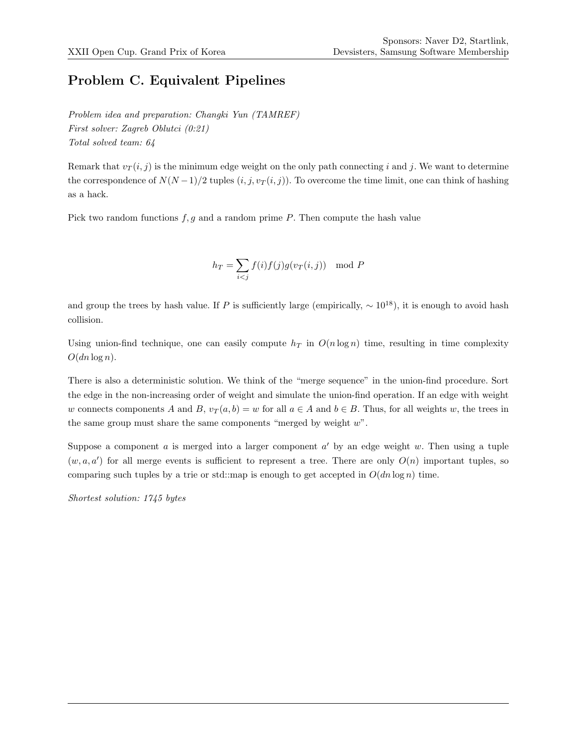### Problem C. Equivalent Pipelines

Problem idea and preparation: Changki Yun (TAMREF) First solver: Zagreb Oblutci (0:21) Total solved team: 64

Remark that  $v_T(i, j)$  is the minimum edge weight on the only path connecting i and j. We want to determine the correspondence of  $N(N-1)/2$  tuples  $(i, j, v_T(i, j))$ . To overcome the time limit, one can think of hashing as a hack.

Pick two random functions  $f, g$  and a random prime P. Then compute the hash value

$$
h_T = \sum_{i < j} f(i) f(j) g(v_T(i, j)) \mod P
$$

and group the trees by hash value. If P is sufficiently large (empirically,  $\sim 10^{18}$ ), it is enough to avoid hash collision.

Using union-find technique, one can easily compute  $h_T$  in  $O(n \log n)$  time, resulting in time complexity  $O(dn \log n)$ .

There is also a deterministic solution. We think of the "merge sequence" in the union-find procedure. Sort the edge in the non-increasing order of weight and simulate the union-find operation. If an edge with weight w connects components A and B,  $v_T(a, b) = w$  for all  $a \in A$  and  $b \in B$ . Thus, for all weights w, the trees in the same group must share the same components "merged by weight w".

Suppose a component  $a$  is merged into a larger component  $a'$  by an edge weight  $w$ . Then using a tuple  $(w, a, a')$  for all merge events is sufficient to represent a tree. There are only  $O(n)$  important tuples, so comparing such tuples by a trie or std::map is enough to get accepted in  $O(dn \log n)$  time.

Shortest solution: 1745 bytes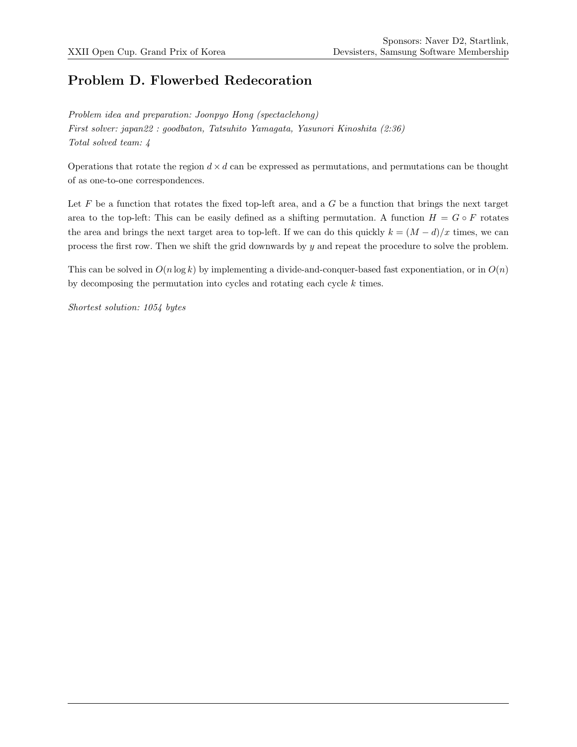# Problem D. Flowerbed Redecoration

Problem idea and preparation: Joonpyo Hong (spectaclehong) First solver: japan22 : goodbaton, Tatsuhito Yamagata, Yasunori Kinoshita (2:36) Total solved team: 4

Operations that rotate the region  $d \times d$  can be expressed as permutations, and permutations can be thought of as one-to-one correspondences.

Let  $F$  be a function that rotates the fixed top-left area, and a  $G$  be a function that brings the next target area to the top-left: This can be easily defined as a shifting permutation. A function  $H = G \circ F$  rotates the area and brings the next target area to top-left. If we can do this quickly  $k = (M - d)/x$  times, we can process the first row. Then we shift the grid downwards by  $y$  and repeat the procedure to solve the problem.

This can be solved in  $O(n \log k)$  by implementing a divide-and-conquer-based fast exponentiation, or in  $O(n)$ by decomposing the permutation into cycles and rotating each cycle k times.

Shortest solution: 1054 bytes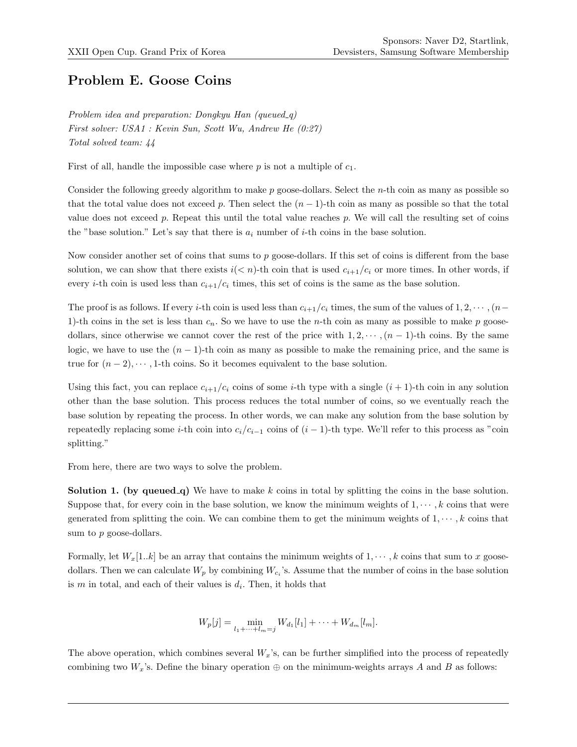#### Problem E. Goose Coins

Problem idea and preparation: Dongkyu Han (queued\_q) First solver: USA1 : Kevin Sun, Scott Wu, Andrew He (0:27) Total solved team: 44

First of all, handle the impossible case where  $p$  is not a multiple of  $c_1$ .

Consider the following greedy algorithm to make p goose-dollars. Select the n-th coin as many as possible so that the total value does not exceed p. Then select the  $(n - 1)$ -th coin as many as possible so that the total value does not exceed  $p$ . Repeat this until the total value reaches  $p$ . We will call the resulting set of coins the "base solution." Let's say that there is  $a_i$  number of *i*-th coins in the base solution.

Now consider another set of coins that sums to  $p$  goose-dollars. If this set of coins is different from the base solution, we can show that there exists  $i(< n)$ -th coin that is used  $c_{i+1}/c_i$  or more times. In other words, if every *i*-th coin is used less than  $c_{i+1}/c_i$  times, this set of coins is the same as the base solution.

The proof is as follows. If every i-th coin is used less than  $c_{i+1}/c_i$  times, the sum of the values of  $1, 2, \cdots, (n-1)$ 1)-th coins in the set is less than  $c_n$ . So we have to use the n-th coin as many as possible to make p goosedollars, since otherwise we cannot cover the rest of the price with  $1, 2, \dots, (n-1)$ -th coins. By the same logic, we have to use the  $(n - 1)$ -th coin as many as possible to make the remaining price, and the same is true for  $(n-2), \dots, 1$ -th coins. So it becomes equivalent to the base solution.

Using this fact, you can replace  $c_{i+1}/c_i$  coins of some *i*-th type with a single  $(i + 1)$ -th coin in any solution other than the base solution. This process reduces the total number of coins, so we eventually reach the base solution by repeating the process. In other words, we can make any solution from the base solution by repeatedly replacing some *i*-th coin into  $c_i/c_{i-1}$  coins of  $(i-1)$ -th type. We'll refer to this process as "coin splitting."

From here, there are two ways to solve the problem.

**Solution 1.** (by queued q) We have to make k coins in total by splitting the coins in the base solution. Suppose that, for every coin in the base solution, we know the minimum weights of  $1, \dots, k$  coins that were generated from splitting the coin. We can combine them to get the minimum weights of  $1, \dots, k$  coins that sum to p goose-dollars.

Formally, let  $W_x[1..k]$  be an array that contains the minimum weights of  $1, \dots, k$  coins that sum to x goosedollars. Then we can calculate  $W_p$  by combining  $W_{c_i}$ 's. Assume that the number of coins in the base solution is  $m$  in total, and each of their values is  $d_i$ . Then, it holds that

$$
W_p[j] = \min_{l_1 + \dots + l_m = j} W_{d_1}[l_1] + \dots + W_{d_m}[l_m].
$$

The above operation, which combines several  $W_x$ 's, can be further simplified into the process of repeatedly combining two  $W_x$ 's. Define the binary operation  $\oplus$  on the minimum-weights arrays A and B as follows: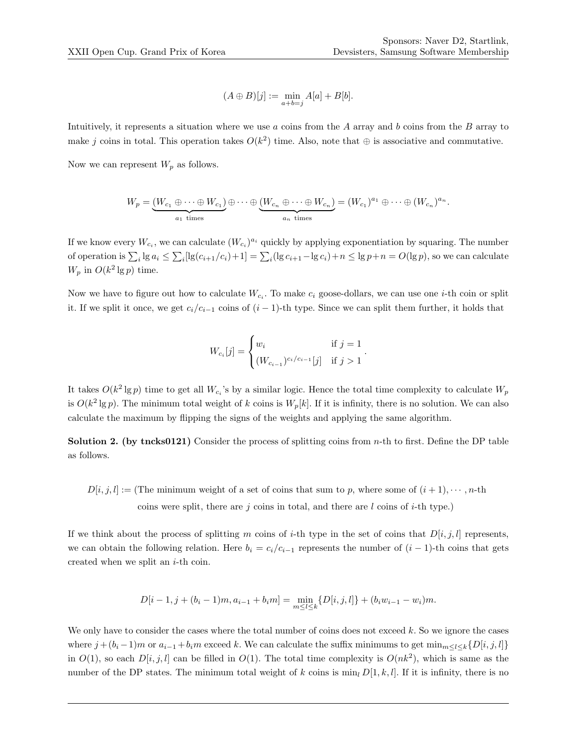$$
(A \oplus B)[j] := \min_{a+b=j} A[a] + B[b].
$$

Intuitively, it represents a situation where we use  $a$  coins from the  $A$  array and  $b$  coins from the  $B$  array to make j coins in total. This operation takes  $O(k^2)$  time. Also, note that  $\oplus$  is associative and commutative.

Now we can represent  $W_p$  as follows.

$$
W_p = \underbrace{(W_{c_1} \oplus \cdots \oplus W_{c_1})}_{a_1 \text{ times}} \oplus \cdots \oplus \underbrace{(W_{c_n} \oplus \cdots \oplus W_{c_n})}_{a_n \text{ times}} = (W_{c_1})^{a_1} \oplus \cdots \oplus (W_{c_n})^{a_n}.
$$

If we know every  $W_{c_i}$ , we can calculate  $(W_{c_i})^{a_i}$  quickly by applying exponentiation by squaring. The number of operation is  $\sum_i \lg a_i \leq \sum_i [\lg(c_{i+1}/c_i)+1] = \sum_i (\lg c_{i+1}-\lg c_i)+n \leq \lg p+n = O(\lg p)$ , so we can calculate  $W_p$  in  $O(k^2 \lg p)$  time.

Now we have to figure out how to calculate  $W_{c_i}$ . To make  $c_i$  goose-dollars, we can use one *i*-th coin or split it. If we split it once, we get  $c_i/c_{i-1}$  coins of  $(i-1)$ -th type. Since we can split them further, it holds that

$$
W_{c_i}[j] = \begin{cases} w_i & \text{if } j = 1 \\ (W_{c_{i-1}})^{c_i/c_{i-1}}[j] & \text{if } j > 1 \end{cases}.
$$

It takes  $O(k^2 \lg p)$  time to get all  $W_{c_i}$ 's by a similar logic. Hence the total time complexity to calculate  $W_p$ is  $O(k^2 \lg p)$ . The minimum total weight of k coins is  $W_p[k]$ . If it is infinity, there is no solution. We can also calculate the maximum by flipping the signs of the weights and applying the same algorithm.

**Solution 2.** (by tncks0121) Consider the process of splitting coins from  $n$ -th to first. Define the DP table as follows.

 $D[i, j, l] :=$  (The minimum weight of a set of coins that sum to p, where some of  $(i + 1), \dots, n$ -th coins were split, there are  $j$  coins in total, and there are  $l$  coins of  $i$ -th type.)

If we think about the process of splitting m coins of i-th type in the set of coins that  $D[i, j, l]$  represents, we can obtain the following relation. Here  $b_i = c_i/c_{i-1}$  represents the number of  $(i - 1)$ -th coins that gets created when we split an  $i$ -th coin.

$$
D[i-1, j+(b_i-1)m, a_{i-1}+b_i m] = \min_{m \leq l \leq k} \{D[i, j, l]\} + (b_i w_{i-1} - w_i)m.
$$

We only have to consider the cases where the total number of coins does not exceed k. So we ignore the cases where  $j + (b_i - 1)m$  or  $a_{i-1} + b_i m$  exceed k. We can calculate the suffix minimums to get  $\min_{m \leq l \leq k} \{D[i, j, l]\}$ in  $O(1)$ , so each  $D[i, j, l]$  can be filled in  $O(1)$ . The total time complexity is  $O(nk^2)$ , which is same as the number of the DP states. The minimum total weight of k coins is min<sub>l</sub>  $D[1, k, l]$ . If it is infinity, there is no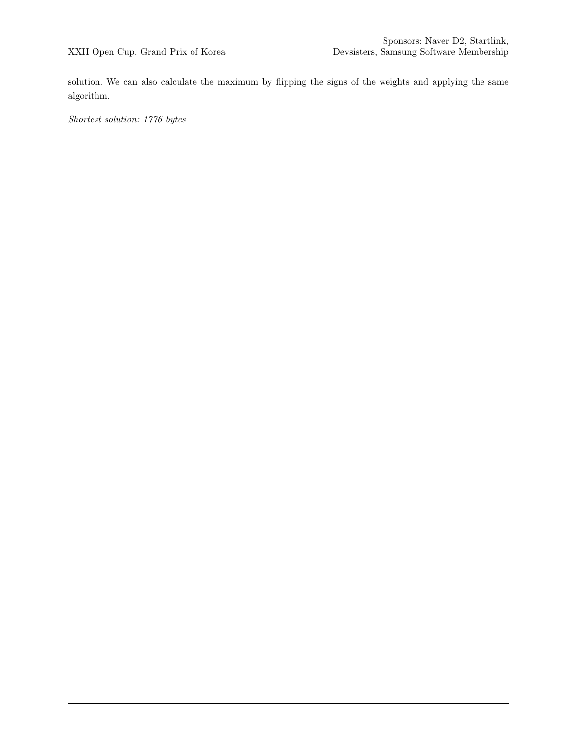solution. We can also calculate the maximum by flipping the signs of the weights and applying the same algorithm.

Shortest solution: 1776 bytes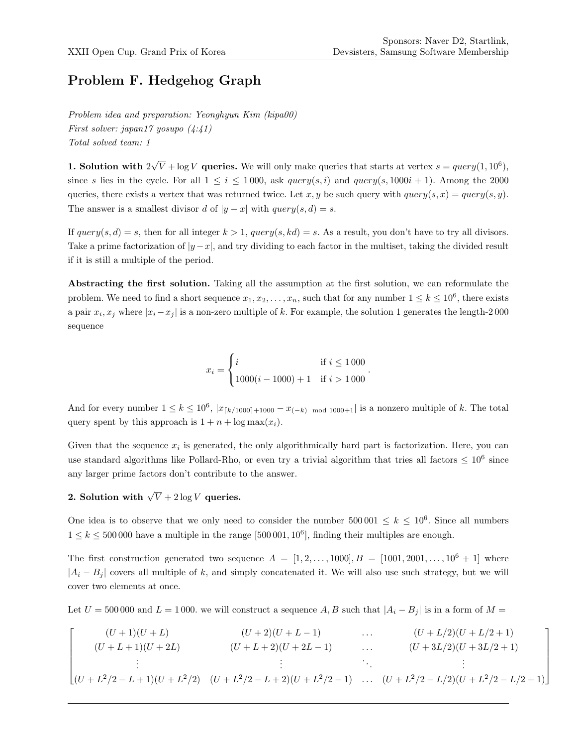# Problem F. Hedgehog Graph

Problem idea and preparation: Yeonghyun Kim (kipa00) First solver: japan17 yosupo (4:41) Total solved team: 1

1. Solution with 2  $\sqrt{V} + \log V$  queries. We will only make queries that starts at vertex  $s = query(1, 10^6)$ , since s lies in the cycle. For all  $1 \leq i \leq 1000$ , ask query $(s, i)$  and query $(s, 1000i + 1)$ . Among the 2000 queries, there exists a vertex that was returned twice. Let x, y be such query with  $query(s, x) = query(s, y)$ . The answer is a smallest divisor d of  $|y - x|$  with  $query(s, d) = s$ .

If  $query(s, d) = s$ , then for all integer  $k > 1$ ,  $query(s, kd) = s$ . As a result, you don't have to try all divisors. Take a prime factorization of  $|y-x|$ , and try dividing to each factor in the multiset, taking the divided result if it is still a multiple of the period.

Abstracting the first solution. Taking all the assumption at the first solution, we can reformulate the problem. We need to find a short sequence  $x_1, x_2, \ldots, x_n$ , such that for any number  $1 \leq k \leq 10^6$ , there exists a pair  $x_i, x_j$  where  $|x_i - x_j|$  is a non-zero multiple of k. For example, the solution 1 generates the length-2000 sequence

$$
x_i = \begin{cases} i & \text{if } i \leq 1\,000 \\ 1000(i - 1000) + 1 & \text{if } i > 1\,000 \end{cases}.
$$

And for every number  $1 \leq k \leq 10^6$ ,  $|x_{\lceil k/1000\rceil+1000} - x_{(-k) \mod 1000+1}|$  is a nonzero multiple of k. The total query spent by this approach is  $1 + n + \log \max(x_i)$ .

Given that the sequence  $x_i$  is generated, the only algorithmically hard part is factorization. Here, you can use standard algorithms like Pollard-Rho, or even try a trivial algorithm that tries all factors  $\leq 10^6$  since any larger prime factors don't contribute to the answer.

# 2. Solution with  $\sqrt{V}+2\log V$  queries.

One idea is to observe that we only need to consider the number  $500001 \leq k \leq 10^6$ . Since all numbers  $1 \leq k \leq 500000$  have a multiple in the range [500 001, 10<sup>6</sup>], finding their multiples are enough.

The first construction generated two sequence  $A = \begin{bmatrix} 1, 2, \ldots, 1000 \end{bmatrix}, B = \begin{bmatrix} 1001, 2001, \ldots, 10^6 + 1 \end{bmatrix}$  where  $|A_i - B_i|$  covers all multiple of k, and simply concatenated it. We will also use such strategy, but we will cover two elements at once.

Let  $U = 500000$  and  $L = 1000$ . we will construct a sequence A, B such that  $|A_i - B_j|$  is in a form of  $M =$ 

$$
\begin{bmatrix}\n(U+1)(U+L) & (U+2)(U+L-1) & \dots & (U+L/2)(U+L/2+1) \\
(U+L+1)(U+2L) & (U+L+2)(U+2L-1) & \dots & (U+3L/2)(U+3L/2+1) \\
\vdots & \vdots & \ddots & \vdots \\
(U+L^2/2-L+1)(U+L^2/2) & (U+L^2/2-L+2)(U+L^2/2-1) & \dots & (U+L^2/2-L/2)(U+L^2/2-L/2+1)\n\end{bmatrix}
$$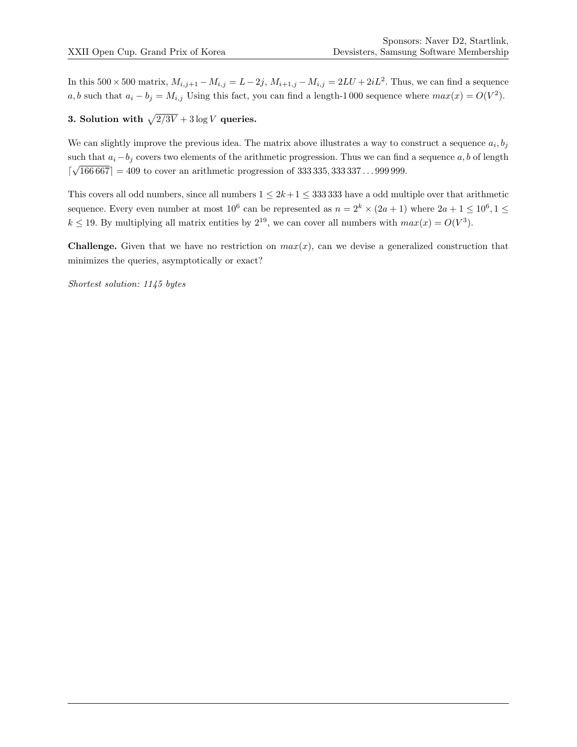In this  $500 \times 500$  matrix,  $M_{i,j+1} - M_{i,j} = L - 2j$ ,  $M_{i+1,j} - M_{i,j} = 2LU + 2iL^2$ . Thus, we can find a sequence a, b such that  $a_i - b_j = M_{i,j}$  Using this fact, you can find a length-1000 sequence where  $max(x) = O(V^2)$ .

#### 3. Solution with  $\sqrt{2/3V} + 3 \log V$  queries.

We can slightly improve the previous idea. The matrix above illustrates a way to construct a sequence  $a_i, b_j$ such that  $a_i-b_j$  covers two elements of the arithmetic progression. Thus we can find a sequence  $a, b$  of length d √  $166\,667$  = 409 to cover an arithmetic progression of 333 335, 333 337...999 999.

This covers all odd numbers, since all numbers  $1 \leq 2k+1 \leq 333333$  have a odd multiple over that arithmetic sequence. Every even number at most  $10^6$  can be represented as  $n = 2^k \times (2a + 1)$  where  $2a + 1 \leq 10^6, 1 \leq$  $k \leq 19$ . By multiplying all matrix entities by  $2^{19}$ , we can cover all numbers with  $max(x) = O(V^3)$ .

**Challenge.** Given that we have no restriction on  $max(x)$ , can we devise a generalized construction that minimizes the queries, asymptotically or exact?

Shortest solution: 1145 bytes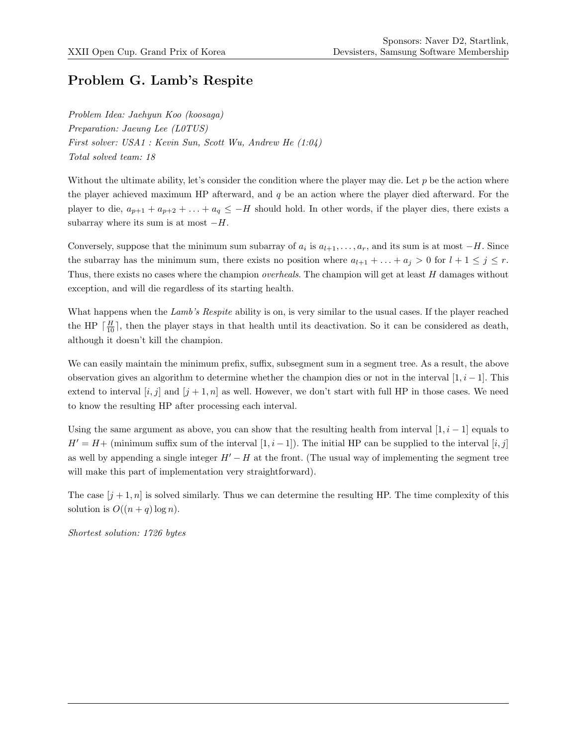# Problem G. Lamb's Respite

Problem Idea: Jaehyun Koo (koosaga) Preparation: Jaeung Lee (L0TUS) First solver: USA1 : Kevin Sun, Scott Wu, Andrew He (1:04) Total solved team: 18

Without the ultimate ability, let's consider the condition where the player may die. Let  $p$  be the action where the player achieved maximum HP afterward, and  $q$  be an action where the player died afterward. For the player to die,  $a_{p+1} + a_{p+2} + \ldots + a_q \leq -H$  should hold. In other words, if the player dies, there exists a subarray where its sum is at most  $-H$ .

Conversely, suppose that the minimum sum subarray of  $a_i$  is  $a_{l+1}, \ldots, a_r$ , and its sum is at most  $-H$ . Since the subarray has the minimum sum, there exists no position where  $a_{l+1} + \ldots + a_j > 0$  for  $l+1 \leq j \leq r$ . Thus, there exists no cases where the champion *overheals*. The champion will get at least H damages without exception, and will die regardless of its starting health.

What happens when the Lamb's Respite ability is on, is very similar to the usual cases. If the player reached the HP  $\lceil \frac{H}{10} \rceil$ , then the player stays in that health until its deactivation. So it can be considered as death, although it doesn't kill the champion.

We can easily maintain the minimum prefix, suffix, subsegment sum in a segment tree. As a result, the above observation gives an algorithm to determine whether the champion dies or not in the interval  $[1, i - 1]$ . This extend to interval  $[i, j]$  and  $[j + 1, n]$  as well. However, we don't start with full HP in those cases. We need to know the resulting HP after processing each interval.

Using the same argument as above, you can show that the resulting health from interval  $[1, i - 1]$  equals to  $H' = H +$  (minimum suffix sum of the interval [1, i – 1]). The initial HP can be supplied to the interval [i, j] as well by appending a single integer  $H' - H$  at the front. (The usual way of implementing the segment tree will make this part of implementation very straightforward).

The case  $[j+1,n]$  is solved similarly. Thus we can determine the resulting HP. The time complexity of this solution is  $O((n+q)\log n)$ .

Shortest solution: 1726 bytes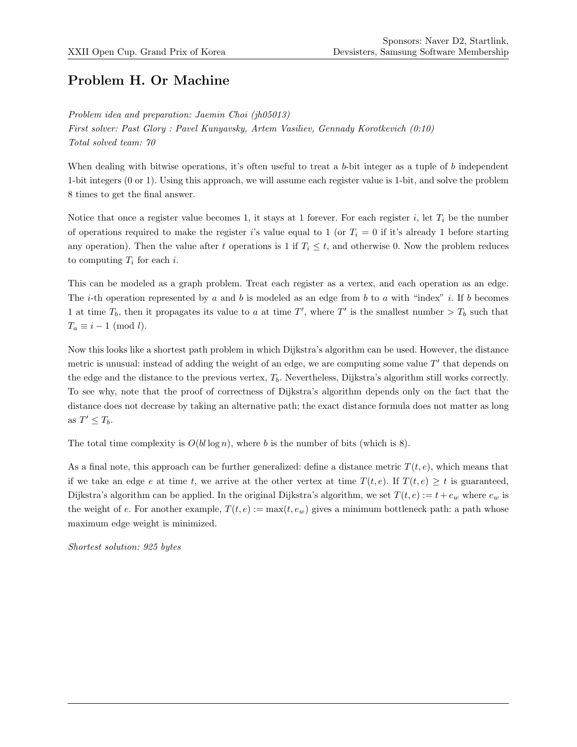# Problem H. Or Machine

Problem idea and preparation: Jaemin Choi (jh05013) First solver: Past Glory : Pavel Kunyavsky, Artem Vasiliev, Gennady Korotkevich (0:10) Total solved team: 70

When dealing with bitwise operations, it's often useful to treat a b-bit integer as a tuple of b independent 1-bit integers (0 or 1). Using this approach, we will assume each register value is 1-bit, and solve the problem 8 times to get the final answer.

Notice that once a register value becomes 1, it stays at 1 forever. For each register  $i$ , let  $T_i$  be the number of operations required to make the register i's value equal to 1 (or  $T_i = 0$  if it's already 1 before starting any operation). Then the value after t operations is 1 if  $T_i \leq t$ , and otherwise 0. Now the problem reduces to computing  $T_i$  for each i.

This can be modeled as a graph problem. Treat each register as a vertex, and each operation as an edge. The *i*-th operation represented by a and b is modeled as an edge from b to a with "index" i. If b becomes 1 at time  $T_b$ , then it propagates its value to a at time T', where T' is the smallest number  $>T_b$  such that  $T_a \equiv i - 1 \pmod{l}.$ 

Now this looks like a shortest path problem in which Dijkstra's algorithm can be used. However, the distance metric is unusual: instead of adding the weight of an edge, we are computing some value  $T'$  that depends on the edge and the distance to the previous vertex,  $T<sub>b</sub>$ . Nevertheless, Dijkstra's algorithm still works correctly. To see why, note that the proof of correctness of Dijkstra's algorithm depends only on the fact that the distance does not decrease by taking an alternative path; the exact distance formula does not matter as long as  $T' \leq T_b$ .

The total time complexity is  $O(bl \log n)$ , where b is the number of bits (which is 8).

As a final note, this approach can be further generalized: define a distance metric  $T(t, e)$ , which means that if we take an edge e at time t, we arrive at the other vertex at time  $T(t, e)$ . If  $T(t, e) \geq t$  is guaranteed, Dijkstra's algorithm can be applied. In the original Dijkstra's algorithm, we set  $T(t, e) := t + e_w$  where  $e_w$  is the weight of e. For another example,  $T(t, e) := \max(t, e_w)$  gives a minimum bottleneck path: a path whose maximum edge weight is minimized.

Shortest solution: 925 bytes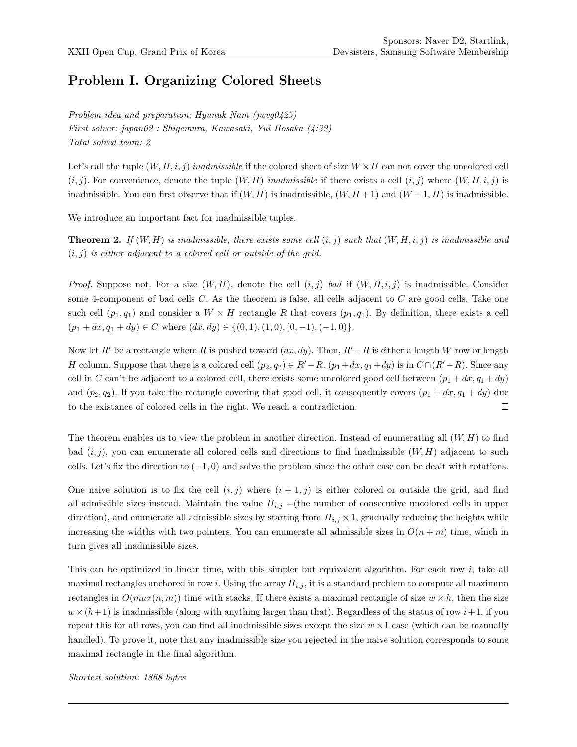## Problem I. Organizing Colored Sheets

Problem idea and preparation: Hyunuk Nam (jwvg0425) First solver: japan02 : Shigemura, Kawasaki, Yui Hosaka (4:32) Total solved team: 2

Let's call the tuple  $(W, H, i, j)$  inadmissible if the colored sheet of size  $W \times H$  can not cover the uncolored cell  $(i, j)$ . For convenience, denote the tuple  $(W, H)$  inadmissible if there exists a cell  $(i, j)$  where  $(W, H, i, j)$  is inadmissible. You can first observe that if  $(W, H)$  is inadmissible,  $(W, H + 1)$  and  $(W + 1, H)$  is inadmissible.

We introduce an important fact for inadmissible tuples.

**Theorem 2.** If  $(W, H)$  is inadmissible, there exists some cell  $(i, j)$  such that  $(W, H, i, j)$  is inadmissible and  $(i, j)$  is either adjacent to a colored cell or outside of the grid.

*Proof.* Suppose not. For a size  $(W, H)$ , denote the cell  $(i, j)$  bad if  $(W, H, i, j)$  is inadmissible. Consider some 4-component of bad cells C. As the theorem is false, all cells adjacent to C are good cells. Take one such cell  $(p_1, q_1)$  and consider a  $W \times H$  rectangle R that covers  $(p_1, q_1)$ . By definition, there exists a cell  $(p_1 + dx, q_1 + dy) \in C$  where  $(dx, dy) \in \{(0, 1), (1, 0), (0, -1), (-1, 0)\}.$ 

Now let R' be a rectangle where R is pushed toward  $(dx, dy)$ . Then,  $R'-R$  is either a length W row or length H column. Suppose that there is a colored cell  $(p_2, q_2) \in R'-R$ .  $(p_1+dx, q_1+dy)$  is in  $C \cap (R'-R)$ . Since any cell in C can't be adjacent to a colored cell, there exists some uncolored good cell between  $(p_1 + dx, q_1 + dy)$ and  $(p_2, q_2)$ . If you take the rectangle covering that good cell, it consequently covers  $(p_1 + dx, q_1 + dy)$  due  $\Box$ to the existance of colored cells in the right. We reach a contradiction.

The theorem enables us to view the problem in another direction. Instead of enumerating all  $(W, H)$  to find bad  $(i, j)$ , you can enumerate all colored cells and directions to find inadmissible  $(W, H)$  adjacent to such cells. Let's fix the direction to  $(-1, 0)$  and solve the problem since the other case can be dealt with rotations.

One naive solution is to fix the cell  $(i, j)$  where  $(i + 1, j)$  is either colored or outside the grid, and find all admissible sizes instead. Maintain the value  $H_{i,j} =$ (the number of consecutive uncolored cells in upper direction), and enumerate all admissible sizes by starting from  $H_{i,j} \times 1$ , gradually reducing the heights while increasing the widths with two pointers. You can enumerate all admissible sizes in  $O(n+m)$  time, which in turn gives all inadmissible sizes.

This can be optimized in linear time, with this simpler but equivalent algorithm. For each row i, take all maximal rectangles anchored in row i. Using the array  $H_{i,j}$ , it is a standard problem to compute all maximum rectangles in  $O(max(n, m))$  time with stacks. If there exists a maximal rectangle of size  $w \times h$ , then the size  $w \times (h+1)$  is inadmissible (along with anything larger than that). Regardless of the status of row  $i+1$ , if you repeat this for all rows, you can find all inadmissible sizes except the size  $w \times 1$  case (which can be manually handled). To prove it, note that any inadmissible size you rejected in the naive solution corresponds to some maximal rectangle in the final algorithm.

Shortest solution: 1868 bytes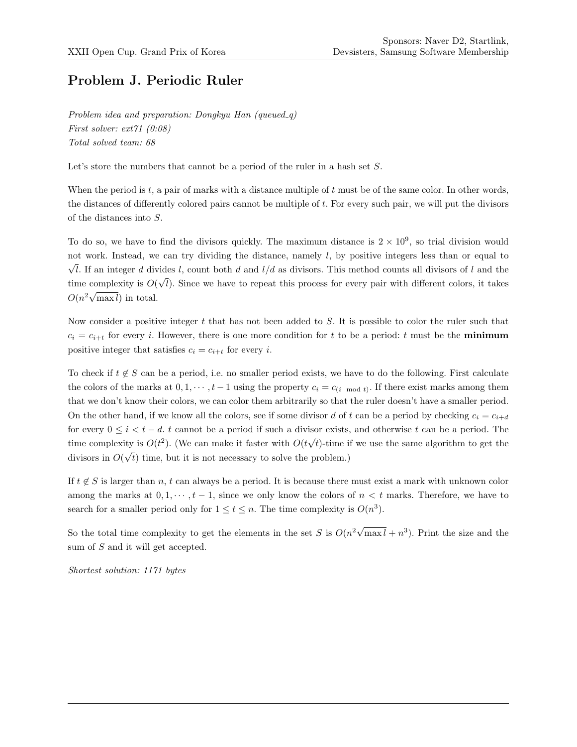#### Problem J. Periodic Ruler

Problem idea and preparation: Dongkyu Han (queued\_q) First solver: ext71 (0:08) Total solved team: 68

Let's store the numbers that cannot be a period of the ruler in a hash set S.

When the period is  $t$ , a pair of marks with a distance multiple of  $t$  must be of the same color. In other words, the distances of differently colored pairs cannot be multiple of t. For every such pair, we will put the divisors of the distances into S.

To do so, we have to find the divisors quickly. The maximum distance is  $2 \times 10^9$ , so trial division would not work. Instead, we can try dividing the distance, namely  $l$ , by positive integers less than or equal to  $\bar{c}$ l. If an integer d divides l, count both d and  $l/d$  as divisors. This method counts all divisors of l and the time complexity is  $O(\sqrt{l})$ . Since we have to repeat this process for every pair with different colors, it takes  $O(n^2\sqrt{2})$  $\max l$  in total.

Now consider a positive integer t that has not been added to S. It is possible to color the ruler such that  $c_i = c_{i+t}$  for every i. However, there is one more condition for t to be a period: t must be the **minimum** positive integer that satisfies  $c_i = c_{i+t}$  for every *i*.

To check if  $t \notin S$  can be a period, i.e. no smaller period exists, we have to do the following. First calculate the colors of the marks at  $0, 1, \dots, t-1$  using the property  $c_i = c_{(i \mod t)}$ . If there exist marks among them that we don't know their colors, we can color them arbitrarily so that the ruler doesn't have a smaller period. On the other hand, if we know all the colors, see if some divisor d of t can be a period by checking  $c_i = c_{i+d}$ for every  $0 \leq i \leq t-d$ . t cannot be a period if such a divisor exists, and otherwise t can be a period. The time complexity is  $O(t^2)$ . (We can make it faster with  $O(t)$ √ t)-time if we use the same algorithm to get the divisors in O( √ t) time, but it is not necessary to solve the problem.)

If  $t \notin S$  is larger than n, t can always be a period. It is because there must exist a mark with unknown color among the marks at  $0, 1, \dots, t-1$ , since we only know the colors of  $n < t$  marks. Therefore, we have to search for a smaller period only for  $1 \le t \le n$ . The time complexity is  $O(n^3)$ .

So the total time complexity to get the elements in the set S is  $O(n^2\sqrt{})$  $\overline{\max l} + n^3$ ). Print the size and the sum of S and it will get accepted.

Shortest solution: 1171 bytes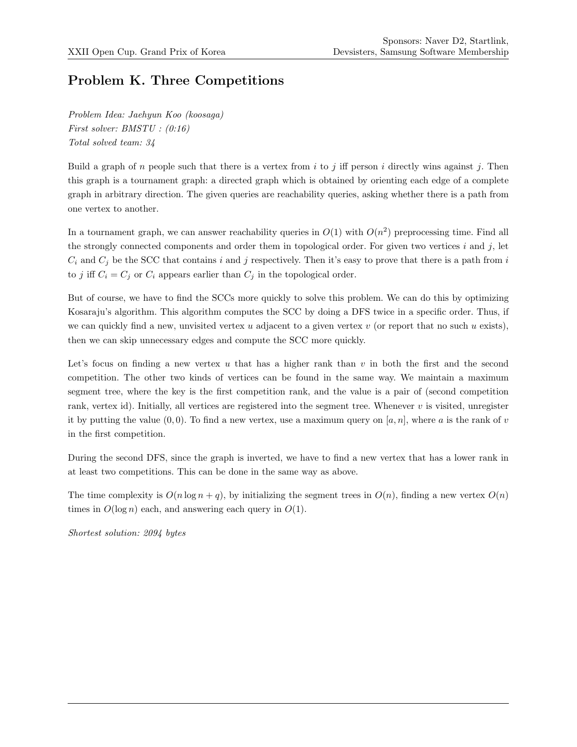# Problem K. Three Competitions

Problem Idea: Jaehyun Koo (koosaga) First solver: BMSTU : (0:16) Total solved team: 34

Build a graph of n people such that there is a vertex from i to j iff person i directly wins against j. Then this graph is a tournament graph: a directed graph which is obtained by orienting each edge of a complete graph in arbitrary direction. The given queries are reachability queries, asking whether there is a path from one vertex to another.

In a tournament graph, we can answer reachability queries in  $O(1)$  with  $O(n^2)$  preprocessing time. Find all the strongly connected components and order them in topological order. For given two vertices  $i$  and  $j$ , let  $C_i$  and  $C_j$  be the SCC that contains i and j respectively. Then it's easy to prove that there is a path from i to j iff  $C_i = C_j$  or  $C_i$  appears earlier than  $C_j$  in the topological order.

But of course, we have to find the SCCs more quickly to solve this problem. We can do this by optimizing Kosaraju's algorithm. This algorithm computes the SCC by doing a DFS twice in a specific order. Thus, if we can quickly find a new, unvisited vertex u adjacent to a given vertex v (or report that no such u exists), then we can skip unnecessary edges and compute the SCC more quickly.

Let's focus on finding a new vertex  $u$  that has a higher rank than  $v$  in both the first and the second competition. The other two kinds of vertices can be found in the same way. We maintain a maximum segment tree, where the key is the first competition rank, and the value is a pair of (second competition rank, vertex id). Initially, all vertices are registered into the segment tree. Whenever  $v$  is visited, unregister it by putting the value  $(0, 0)$ . To find a new vertex, use a maximum query on [a, n], where a is the rank of v in the first competition.

During the second DFS, since the graph is inverted, we have to find a new vertex that has a lower rank in at least two competitions. This can be done in the same way as above.

The time complexity is  $O(n \log n + q)$ , by initializing the segment trees in  $O(n)$ , finding a new vertex  $O(n)$ times in  $O(\log n)$  each, and answering each query in  $O(1)$ .

Shortest solution: 2094 bytes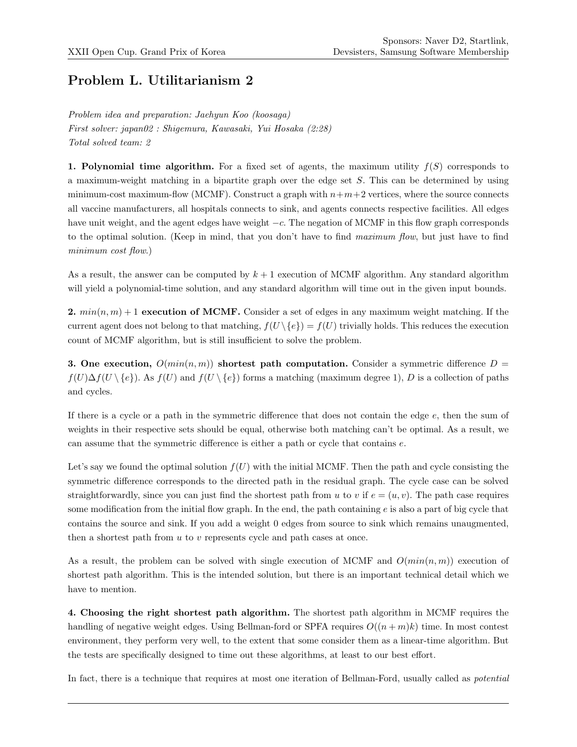# Problem L. Utilitarianism 2

Problem idea and preparation: Jaehyun Koo (koosaga) First solver: japan02 : Shigemura, Kawasaki, Yui Hosaka (2:28) Total solved team: 2

1. Polynomial time algorithm. For a fixed set of agents, the maximum utility  $f(S)$  corresponds to a maximum-weight matching in a bipartite graph over the edge set  $S$ . This can be determined by using minimum-cost maximum-flow (MCMF). Construct a graph with  $n+m+2$  vertices, where the source connects all vaccine manufacturers, all hospitals connects to sink, and agents connects respective facilities. All edges have unit weight, and the agent edges have weight −c. The negation of MCMF in this flow graph corresponds to the optimal solution. (Keep in mind, that you don't have to find maximum flow, but just have to find minimum cost flow.)

As a result, the answer can be computed by  $k + 1$  execution of MCMF algorithm. Any standard algorithm will yield a polynomial-time solution, and any standard algorithm will time out in the given input bounds.

2.  $min(n, m) + 1$  execution of MCMF. Consider a set of edges in any maximum weight matching. If the current agent does not belong to that matching,  $f(U \setminus \{e\}) = f(U)$  trivially holds. This reduces the execution count of MCMF algorithm, but is still insufficient to solve the problem.

3. One execution,  $O(min(n, m))$  shortest path computation. Consider a symmetric difference  $D =$  $f(U)\Delta f(U \setminus \{e\})$ . As  $f(U)$  and  $f(U \setminus \{e\})$  forms a matching (maximum degree 1), D is a collection of paths and cycles.

If there is a cycle or a path in the symmetric difference that does not contain the edge  $e$ , then the sum of weights in their respective sets should be equal, otherwise both matching can't be optimal. As a result, we can assume that the symmetric difference is either a path or cycle that contains e.

Let's say we found the optimal solution  $f(U)$  with the initial MCMF. Then the path and cycle consisting the symmetric difference corresponds to the directed path in the residual graph. The cycle case can be solved straightforwardly, since you can just find the shortest path from u to v if  $e = (u, v)$ . The path case requires some modification from the initial flow graph. In the end, the path containing  $e$  is also a part of big cycle that contains the source and sink. If you add a weight 0 edges from source to sink which remains unaugmented, then a shortest path from  $u$  to  $v$  represents cycle and path cases at once.

As a result, the problem can be solved with single execution of MCMF and  $O(min(n, m))$  execution of shortest path algorithm. This is the intended solution, but there is an important technical detail which we have to mention.

4. Choosing the right shortest path algorithm. The shortest path algorithm in MCMF requires the handling of negative weight edges. Using Bellman-ford or SPFA requires  $O((n+m)k)$  time. In most contest environment, they perform very well, to the extent that some consider them as a linear-time algorithm. But the tests are specifically designed to time out these algorithms, at least to our best effort.

In fact, there is a technique that requires at most one iteration of Bellman-Ford, usually called as potential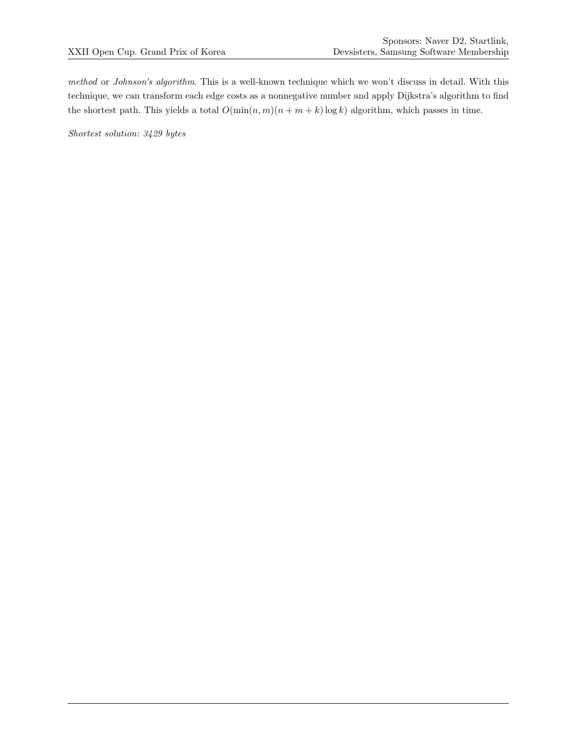method or Johnson's algorithm. This is a well-known technique which we won't discuss in detail. With this technique, we can transform each edge costs as a nonnegative number and apply Dijkstra's algorithm to find the shortest path. This yields a total  $O(\min(n, m)(n + m + k) \log k)$  algorithm, which passes in time.

Shortest solution: 3429 bytes